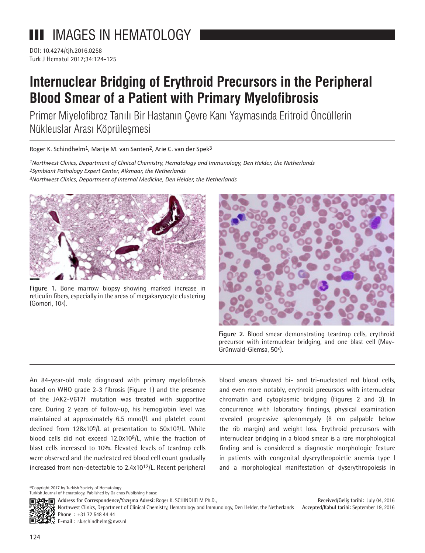## **III** IMAGES IN HEMATOLOGY

DOI: 10.4274/tjh.2016.0258 Turk J Hematol 2017;34:124-125

## **Internuclear Bridging of Erythroid Precursors in the Peripheral Blood Smear of a Patient with Primary Myelofibrosis**

Primer Miyelofibroz Tanılı Bir Hastanın Çevre Kanı Yaymasında Eritroid Öncüllerin Nükleuslar Arası Köprüleşmesi

Roger K. Schindhelm<sup>1</sup>, Marije M. van Santen<sup>2</sup>, Arie C. van der Spek<sup>3</sup>

*1Northwest Clinics, Department of Clinical Chemistry, Hematology and Immunology, Den Helder, the Netherlands 2Symbiant Pathology Expert Center, Alkmaar, the Netherlands 3Northwest Clinics, Department of Internal Medicine, Den Helder, the Netherlands*



**Figure 1.** Bone marrow biopsy showing marked increase in reticulin fibers, especially in the areas of megakaryocyte clustering (Gomori, 10x).



**Figure 2.** Blood smear demonstrating teardrop cells, erythroid precursor with internuclear bridging, and one blast cell (May-Grünwald-Giemsa, 50x).

An 84-year-old male diagnosed with primary myelofibrosis based on WHO grade 2-3 fibrosis (Figure 1) and the presence of the JAK2-V617F mutation was treated with supportive care. During 2 years of follow-up, his hemoglobin level was maintained at approximately 6.5 mmol/L and platelet count declined from 128x109/L at presentation to 50x109/L. White blood cells did not exceed 12.0x109/L, while the fraction of blast cells increased to 10%. Elevated levels of teardrop cells were observed and the nucleated red blood cell count gradually increased from non-detectable to 2.4x1012/L. Recent peripheral blood smears showed bi- and tri-nucleated red blood cells, and even more notably, erythroid precursors with internuclear chromatin and cytoplasmic bridging (Figures 2 and 3). In concurrence with laboratory findings, physical examination revealed progressive splenomegaly (8 cm palpable below the rib margin) and weight loss. Erythroid precursors with internuclear bridging in a blood smear is a rare morphological finding and is considered a diagnostic morphologic feature in patients with congenital dyserythropoietic anemia type I and a morphological manifestation of dyserythropoiesis in

©Copyright 2017 by Turkish Society of Hematology

**E-mail :** r.k.schindhelm@nwz.nl

Turkish Journal of Hematology, Published by Galenos Publishing House

**Address for Correspondence/Yazışma Adresi: Roger K. SCHINDHELM Ph.D.,** 

**Received/Geliş tarihi:** July 04, 2016 **Accepted/Kabul tarihi:** September 19, 2016 Northwest Clinics, Department of Clinical Chemistry, Hematology and Immunology, Den Helder, the Netherlands **Phone :** +31 72 548 44 44